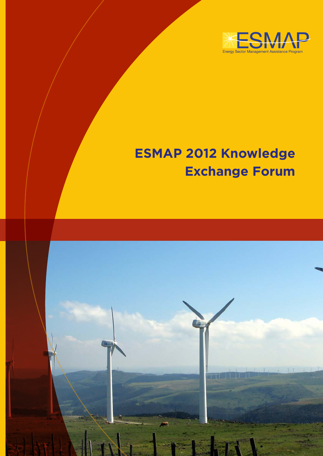

# **ESMAP 2012 Knowledge Exchange Forum**

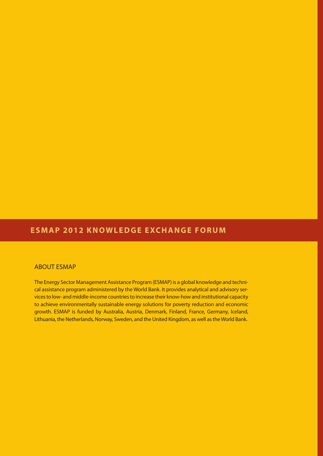# **ESMAP 2012 KNOWLEDGE EXCHANGE FORUM**

# ABOUT ESMAP

The Energy Sector Management Assistance Program (ESMAP) is a global knowledge and technical assistance program administered by the World Bank. It provides analytical and advisory services to low- and middle-income countries to increase their know-how and institutional capacity to achieve environmentally sustainable energy solutions for poverty reduction and economic growth. ESMAP is funded by Australia, Austria, Denmark, Finland, France, Germany, Iceland, Lithuania, the Netherlands, Norway, Sweden, and the United Kingdom, as well as the World Bank.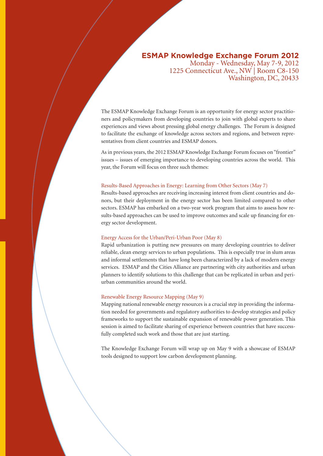# **ESMAP Knowledge Exchange Forum 2012**

Monday - Wednesday, May 7-9, 2012 1225 Connecticut Ave., NW | Room C8-150 Washington, DC, 20433

The ESMAP Knowledge Exchange Forum is an opportunity for energy sector practitioners and policymakers from developing countries to join with global experts to share experiences and views about pressing global energy challenges. The Forum is designed to facilitate the exchange of knowledge across sectors and regions, and between representatives from client countries and ESMAP donors.

As in previous years, the 2012 ESMAP Knowledge Exchange Forum focuses on "frontier" issues – issues of emerging importance to developing countries across the world. This year, the Forum will focus on three such themes:

#### Results-Based Approaches in Energy: Learning from Other Sectors (May 7)

Results-based approaches are receiving increasing interest from client countries and donors, but their deployment in the energy sector has been limited compared to other sectors. ESMAP has embarked on a two-year work program that aims to assess how results-based approaches can be used to improve outcomes and scale up financing for energy sector development.

# Energy Access for the Urban/Peri-Urban Poor (May 8)

Rapid urbanization is putting new pressures on many developing countries to deliver reliable, clean energy services to urban populations. This is especially true in slum areas and informal settlements that have long been characterized by a lack of modern energy services. ESMAP and the Cities Alliance are partnering with city authorities and urban planners to identify solutions to this challenge that can be replicated in urban and periurban communities around the world.

#### Renewable Energy Resource Mapping (May 9)

Mapping national renewable energy resources is a crucial step in providing the information needed for governments and regulatory authorities to develop strategies and policy frameworks to support the sustainable expansion of renewable power generation. This session is aimed to facilitate sharing of experience between countries that have successfully completed such work and those that are just starting.

The Knowledge Exchange Forum will wrap up on May 9 with a showcase of ESMAP tools designed to support low carbon development planning.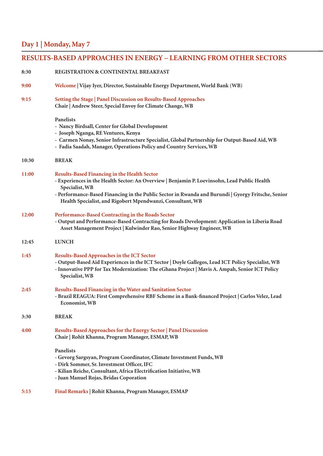# **Day 1 | Monday, May 7**

| <b>RESULTS-BASED APPROACHES IN ENERGY – LEARNING FROM OTHER SECTORS</b> |                                                                                                                                                                                                                                                                                                                                           |
|-------------------------------------------------------------------------|-------------------------------------------------------------------------------------------------------------------------------------------------------------------------------------------------------------------------------------------------------------------------------------------------------------------------------------------|
| 8:30                                                                    | <b>REGISTRATION &amp; CONTINENTAL BREAKFAST</b>                                                                                                                                                                                                                                                                                           |
| 9:00                                                                    | Welcome   Vijay Iyer, Director, Sustainable Energy Department, World Bank (WB)                                                                                                                                                                                                                                                            |
| 9:15                                                                    | Setting the Stage   Panel Discussion on Results-Based Approaches<br>Chair   Andrew Steer, Special Envoy for Climate Change, WB                                                                                                                                                                                                            |
|                                                                         | <b>Panelists</b><br>- Nancy Birdsall, Center for Global Development<br>- Joseph Nganga, RE Ventures, Kenya<br>- Carmen Nonay, Senior Infrastructure Specialist, Global Partnership for Output-Based Aid, WB<br>- Fadia Saadah, Manager, Operations Policy and Country Services, WB                                                        |
| 10:30                                                                   | <b>BREAK</b>                                                                                                                                                                                                                                                                                                                              |
| 11:00                                                                   | <b>Results-Based Financing in the Health Sector</b><br>- Experiences in the Health Sector: An Overview   Benjamin P. Loevinsohn, Lead Public Health<br>Specialist, WB<br>- Performance-Based Financing in the Public Sector in Rwanda and Burundi   Gyorgy Fritsche, Senior<br>Health Specialist, and Rigobert Mpendwanzi, Consultant, WB |
| 12:00                                                                   | Performance-Based Contracting in the Roads Sector<br>- Output and Performance-Based Contracting for Roads Development: Application in Liberia Road<br>Asset Management Project   Kulwinder Rao, Senior Highway Engineer, WB                                                                                                               |
| 12:45                                                                   | <b>LUNCH</b>                                                                                                                                                                                                                                                                                                                              |
| 1:45                                                                    | <b>Results-Based Approaches in the ICT Sector</b><br>- Output-Based Aid Experiences in the ICT Sector   Doyle Gallegos, Lead ICT Policy Specialist, WB<br>- Innovative PPP for Tax Modernization: The eGhana Project   Mavis A. Ampah, Senior ICT Policy<br>Specialist, WB                                                                |
| 2:45                                                                    | Results-Based Financing in the Water and Sanitation Sector<br>- Brazil REAGUA: First Comprehensive RBF Scheme in a Bank-financed Project   Carlos Velez, Lead<br>Economist, WB                                                                                                                                                            |
| 3:30                                                                    | <b>BREAK</b>                                                                                                                                                                                                                                                                                                                              |
| 4:00                                                                    | Results-Based Approaches for the Energy Sector   Panel Discussion<br>Chair   Rohit Khanna, Program Manager, ESMAP, WB                                                                                                                                                                                                                     |
|                                                                         | Panelists<br>- Gevorg Sargsyan, Program Coordinator, Climate Investment Funds, WB<br>- Dirk Sommer, Sr. Investment Officer, IFC<br>- Kilian Reiche, Consultant, Africa Electrification Initiative, WB<br>- Juan Manuel Rojas, Bridas Coporation                                                                                           |
| 5:15                                                                    | Final Remarks   Rohit Khanna, Program Manager, ESMAP                                                                                                                                                                                                                                                                                      |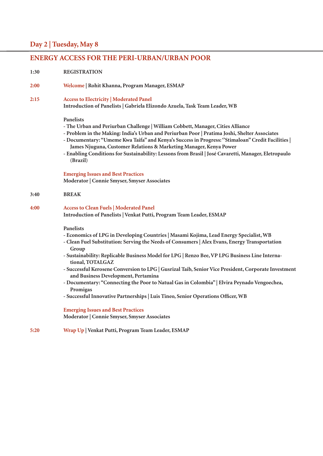# **Day 2 | Tuesday, May 8**

# **ENERGY ACCESS FOR THE PERI-URBAN/URBAN POOR**

#### **1:30 REGISTRATION**

#### **2:00 Welcome | Rohit Khanna, Program Manager, ESMAP**

**2:15 Access to Electricity | Moderated Panel**

**Introduction of Panelists | Gabriela Elizondo Azuela, Task Team Leader, WB**

#### **Panelists**

- **The Urban and Periurban Challenge | William Cobbett, Manager, Cities Alliance**
- **Problem in the Making: India's Urban and Periurban Poor | Pratima Joshi, Shelter Associates**
- **Documentary: "Umeme Kwa Taifa" and Kenya's Success in Progress: ''Stimaloan'' Credit Facilities | James Njuguna, Customer Relations & Marketing Manager, Kenya Power**
- **Enabling Conditions for Sustainability: Lessons from Brasil | José Cavaretti, Manager, Eletropaulo (Brazil)**

#### **Emerging Issues and Best Practices**

**Moderator | Connie Smyser, Smyser Associates**

#### **3:40 BREAK**

#### **4:00 Access to Clean Fuels | Moderated Panel**

**Introduction of Panelists | Venkat Putti, Program Team Leader, ESMAP**

#### **Panelists**

- **Economics of LPG in Developing Countries | Masami Kojima, Lead Energy Specialist, WB**
- **Clean Fuel Substitution: Serving the Needs of Consumers | Alex Evans, Energy Transportation Group**
- **Sustainability: Replicable Business Model for LPG | Renzo Bee, VP LPG Business Line Interna tional, TOTALGAZ**
- **Successful Kerosene Conversion to LPG | Gusrizal Taib, Senior Vice President, Corporate Investment and Business Development, Pertamina**
- **Documentary: "Connecting the Poor to Natual Gas in Colombia" | Elvira Peynado Vengoechea, Promigas**
- **Successful Innovative Partnerships | Luis Tineo, Senior Operations Officer, WB**

#### **Emerging Issues and Best Practices Moderator | Connie Smyser, Smyser Associates**

**5:20 Wrap Up | Venkat Putti, Program Team Leader, ESMAP**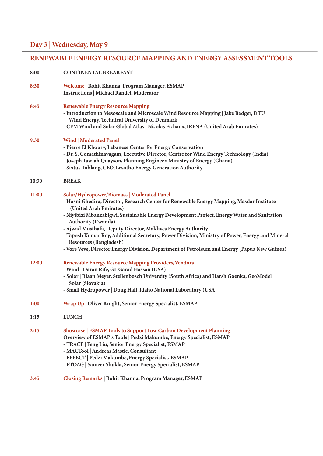# **RENEWABLE ENERGY RESOURCE MAPPING AND ENERGY ASSESSMENT TOOLS**

| 8:00  | <b>CONTINENTAL BREAKFAST</b>                                                                                                                                                                                                                                                                                                                                                                                                                                                                                                                                                               |
|-------|--------------------------------------------------------------------------------------------------------------------------------------------------------------------------------------------------------------------------------------------------------------------------------------------------------------------------------------------------------------------------------------------------------------------------------------------------------------------------------------------------------------------------------------------------------------------------------------------|
| 8:30  | Welcome   Rohit Khanna, Program Manager, ESMAP<br><b>Instructions   Michael Randel, Moderator</b>                                                                                                                                                                                                                                                                                                                                                                                                                                                                                          |
| 8:45  | <b>Renewable Energy Resource Mapping</b><br>- Introduction to Mesoscale and Microscale Wind Resource Mapping   Jake Badger, DTU<br>Wind Energy, Technical University of Denmark<br>- CEM Wind and Solar Global Atlas   Nicolas Fichaux, IRENA (United Arab Emirates)                                                                                                                                                                                                                                                                                                                       |
| 9:30  | Wind   Moderated Panel<br>- Pierre El Khoury, Lebanese Center for Energy Conservation<br>- Dr. S. Gomathinayagam, Executive Director, Centre for Wind Energy Technology (India)<br>- Joseph Tawiah Quayson, Planning Engineer, Ministry of Energy (Ghana)<br>- Sixtus Tohlang, CEO, Lesotho Energy Generation Authority                                                                                                                                                                                                                                                                    |
| 10:30 | <b>BREAK</b>                                                                                                                                                                                                                                                                                                                                                                                                                                                                                                                                                                               |
| 11:00 | Solar/Hydropower/Biomass   Moderated Panel<br>- Hosni Ghedira, Director, Research Center for Renewable Energy Mapping, Masdar Institute<br>(United Arab Emirates)<br>- Niyibizi Mbanzabigwi, Sustainable Energy Development Project, Energy Water and Sanitation<br><b>Authority (Rwanda)</b><br>- Ajwad Musthafa, Deputy Director, Maldives Energy Authority<br>- Taposh Kumar Roy, Additional Secretary, Power Division, Ministry of Power, Energy and Mineral<br>Resources (Bangladesh)<br>- Vore Veve, Director Energy Division, Department of Petroleum and Energy (Papua New Guinea) |
| 12:00 | <b>Renewable Energy Resource Mapping Providers/Vendors</b><br>- Wind   Daran Rife, GL Garad Hassan (USA)<br>- Solar   Riaan Meyer, Stellenbosch University (South Africa) and Harsh Goenka, GeoModel<br>Solar (Slovakia)<br>- Small Hydropower   Doug Hall, Idaho National Laboratory (USA)                                                                                                                                                                                                                                                                                                |
| 1:00  | Wrap Up   Oliver Knight, Senior Energy Specialist, ESMAP                                                                                                                                                                                                                                                                                                                                                                                                                                                                                                                                   |
| 1:15  | <b>LUNCH</b>                                                                                                                                                                                                                                                                                                                                                                                                                                                                                                                                                                               |
| 2:15  | <b>Showcase   ESMAP Tools to Support Low Carbon Development Planning</b><br>Overview of ESMAP's Tools   Pedzi Makumbe, Energy Specialist, ESMAP<br>- TRACE   Feng Liu, Senior Energy Specialist, ESMAP<br>- MACTool   Andreas Mästle, Consultant<br>- EFFECT   Pedzi Makumbe, Energy Specialist, ESMAP<br>- ETOAG   Sameer Shukla, Senior Energy Specialist, ESMAP                                                                                                                                                                                                                         |
| 3:45  | Closing Remarks   Rohit Khanna, Program Manager, ESMAP                                                                                                                                                                                                                                                                                                                                                                                                                                                                                                                                     |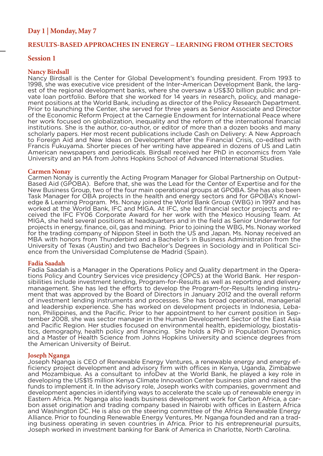# **Day 1 | Monday, May 7**

# **RESULTS-BASED APPROACHES IN ENERGY – LEARNING FROM OTHER SECTORS**

# **Session 1**

# **Nancy Birdsall**

Nancy Birdsall is the Center for Global Development's founding president. From 1993 to 1998, she was executive vice president of the Inter-American Development Bank, the largest of the regional development banks, where she oversaw a US\$30 billion public and private loan portfolio. Before that she worked for 14 years in research, policy, and management positions at the World Bank, including as director of the Policy Research Department. Prior to launching the Center, she served for three years as Senior Associate and Director of the Economic Reform Project at the Carnegie Endowment for International Peace where her work focused on globalization, inequality and the reform of the international financial institutions. She is the author, co-author, or editor of more than a dozen books and many scholarly papers. Her most recent publications include Cash on Delivery: A New Approach to Foreign Aid and New Ideas on Development after the Financial Crisis, co-edited with Francis Fukuyama. Shorter pieces of her writing have appeared in dozens of US and Latin American newspapers and periodicals. Birdsall received her PhD in economics from Yale University and an MA from Johns Hopkins School of Advanced International Studies.

#### **Carmen Nonay**

Carmen Nonay is currently the Acting Program Manager for Global Partnership on Output-Based Aid (GPOBA). Before that, she was the Lead for the Center of Expertise and for the New Business Group, two of the four main operational groups at GPOBA. She has also been Task Manager for OBA projects in the health and energy sectors and for GPOBA's Knowledge & Learning Program. Ms. Nonay joined the World Bank Group (WBG) in 1997 and has worked at the World Bank, IFC and MIGA. At IFC, she led financial sector projects and received the IFC FY06 Corporate Award for her work with the Mexico Housing Team. At MIGA, she held several positions at headquarters and in the field as Senior Underwriter for projects in energy, finance, oil, gas and mining. Prior to joining the WBG, Ms. Nonay worked for the trading company of Nippon Steel in both the US and Japan. Ms. Nonay received an MBA with honors from Thunderbird and a Bachelor's in Business Administration from the University of Texas (Austin) and two Bachelor's Degrees in Sociology and in Political Science from the Universidad Complutense de Madrid (Spain).

<mark>Fadia Saadah</mark><br>Fadia Saadah is a Manager in the Operations Policy and Quality department in the Operations Policy and Country Services vice presidency (OPCS) at the World Bank. Her responsibilities include investment lending, Program-for-Results as well as reporting and delivery management. She has led the efforts to develop the Program-for-Results lending instru- ment that was approved by the Board of Directors in January 2012 and the overall reform of investment lending instruments and processes. She has broad operational, managerial<br>and leadership experience. She has worked on development projects in Indonesia, Lebanon, Philippines, and the Pacific. Prior to her appointment to her current position in September 2008, she was sector manager in the Human Development Sector of the East Asia and Pacific Region. Her studies focused on environmental health, epidemiology, biostatis-<br>tics, demography, health policy and financing. She holds a PhD in Population Dynamics and a Master of Health Science from Johns Hopkins University and science degrees from the American University of Beirut.

**Joseph Nganga**<br>Joseph Nganga is CEO of Renewable Energy Ventures, a renewable energy and energy efficiency project development and advisory firm with offices in Kenya, Uganda, Zimbabwe and Mozambique. As a consultant to infoDev at the World Bank, he played a key role in developing the US\$15 million Kenya Climate Innovation Center business plan and raised the funds to implement it. In the advisory role, Joseph works with companies, government and development agencies in identifying ways to accelerate the scale up of renewable energy in<br>Eastern Africa. Mr. Nganga also leads business development work for Carbon Africa, a carbon asset origination and trading company based in Nairobi with offices in Eastern Africa and Washington DC. He is also on the steering committee of the Africa Renewable Energy Alliance. Prior to founding Renewable Energy Ventures, Mr. Nganga founded and ran a trading business operating in seven countries in Africa. Prior to his entrepreneurial pursuits, Joseph worked in investment banking for Bank of America in Charlotte, North Carolina.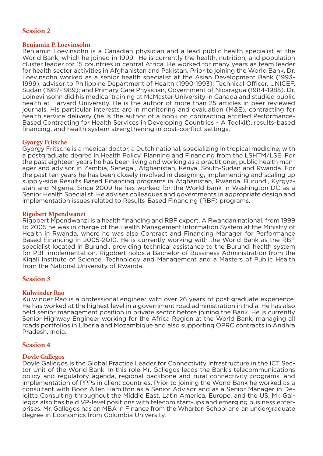# **Session 2**

# **Benjamin P. Loevinsohn**

Benjamin Loevinsohn is a Canadian physician and a lead public health specialist at the World Bank, which he joined in 1999. He is currently the health, nutrition, and population cluster leader for 15 countries in central Africa. He worked for many years as team leader for health sector activities in Afghanistan and Pakistan. Prior to joining the World Bank, Dr. Loevinsohn worked as a senior health specialist at the Asian Development Bank (1993- 1999), advisor to Philippine Department of Health (1990-1993); Technical Officer, UNICEF, Sudan (1987-1989); and Primary Care Physician, Government of Nicaragua (1984-1985). Dr. Loinevinsohn did his medical training at McMaster University in Canada and studied public health at Harvard University. He is the author of more than 25 articles in peer reviewed journals. His particular interests are in monitoring and evaluation (M&E), contracting for health service delivery (he is the author of a book on contracting entitled Performance-Based Contracting for Health Services in Developing Countries – A Toolkit), results-based financing, and health system strengthening in post-conflict settings.

# **Gyorgy Fritsche**

Gyorgy Fritsche is a medical doctor, a Dutch national, specializing in tropical medicine, with a postgraduate degree in Health Policy, Planning and Financing from the LSHTM/LSE. For the past eighteen years he has been living and working as a practitioner, public health manager and advisor in Zambia, Senegal, Afghanistan, Kenya, South-Sudan and Rwanda. For the past ten years he has been closely involved in designing, implementing and scaling up supply-side Results Based Financing programs in Afghanistan, Rwanda, Burundi, Kyrgyzstan and Nigeria. Since 2009 he has worked for the World Bank in Washington DC as a Senior Health Specialist. He advises colleagues and governments in appropriate design and implementation issues related to Results-Based Financing (RBF) programs.

# **Rigobert Mpendwanzi**

Rigobert Mpendwanzi is a health financing and RBF expert. A Rwandan national, from 1999 to 2005 he was in charge of the Health Management Information System at the Ministry of Health in Rwanda, where he was also Contract and Financing Manager for Performance Based Financing in 2005-2010. He is currently working with the World Bank as the RBF specialist located in Burundi, providing technical assistance to the Burundi health system for PBF implementation. Rigobert holds a Bachelor of Bussiness Administration from the Kigali Institute of Science, Technology and Management and a Masters of Public Health from the National University of Rwanda.

# **Session 3**

# **Kulwinder Rao**

Kulwinder Rao is a professional engineer with over 26 years of post graduate experience. He has worked at the highest level in a government road administration in India. He has also held senior management position in private sector before joining the Bank. He is currently Senior Highway Engineer working for the Africa Region at the World Bank, managing all roads portfolios in Liberia and Mozambique and also supporting OPRC contracts in Andhra Pradesh, India.

# **Session 4**

# **Doyle Gallegos**

Doyle Gallegos is the Global Practice Leader for Connectivity Infrastructure in the ICT Sector Unit of the World Bank. In this role Mr. Gallegos leads the Bank's telecommunications policy and regulatory agenda, regional backbone and rural connectivity programs, and implementation of PPPs in client countries. Prior to joining the World Bank he worked as a consultant with Booz Allen Hamilton as a Senior Advisor and as a Senior Manager in Deloitte Consulting throughout the Middle East, Latin America, Europe, and the US. Mr. Gallegos also has held VP-level positions with telecom start-ups and emerging business enterprises. Mr. Gallegos has an MBA in Finance from the Wharton School and an undergraduate degree in Economics from Columbia University.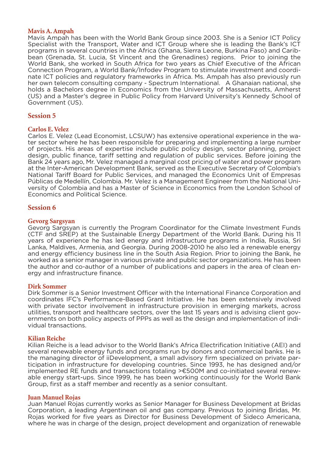# **Mavis A. Ampah**

Mavis Ampah has been with the World Bank Group since 2003. She is a Senior ICT Policy Specialist with the Transport, Water and ICT Group where she is leading the Bank's ICT programs in several countries in the Africa (Ghana, Sierra Leone, Burkina Faso) and Caribbean (Grenada, St. Lucia, St Vincent and the Grenadines) regions. Prior to joining the World Bank, she worked in South Africa for two years as Chief Executive of the African Connection Program, a World Bank/Infodev Program to stimulate investment and coordinate ICT policies and regulatory frameworks in Africa. Ms. Ampah has also previously run her own telecom consulting company - Spectrum International. A Ghanaian national, she holds a Bachelors degree in Economics from the University of Massachusetts, Amherst (US) and a Master's degree in Public Policy from Harvard University's Kennedy School of Government (US).

# **Session 5**

# **Carlos E. Velez**

Carlos E. Velez (Lead Economist, LCSUW) has extensive operational experience in the water sector where he has been responsible for preparing and implementing a large number of projects. His areas of expertise include public policy design, sector planning, project design, public finance, tariff setting and regulation of public services. Before joining the Bank 24 years ago, Mr. Velez managed a marginal cost pricing of water and power program at the Inter-American Development Bank, served as the Executive Secretary of Colombia's National Tariff Board for Public Services, and managed the Economics Unit of Empresas Públicas de Medellín, Colombia. Mr. Velez is a Management Engineer from the National University of Colombia and has a Master of Science in Economics from the London School of Economics and Political Science.

# **Session 6**

#### **Gevorg Sargsyan**

Gevorg Sargsyan is currently the Program Coordinator for the Climate Investment Funds (CTF and SREP) at the Sustainable Energy Department of the World Bank. During his 11 years of experience he has led energy and infrastructure programs in India, Russia, Sri Lanka, Maldives, Armenia, and Georgia. During 2008-2010 he also led a renewable energy and energy efficiency business line in the South Asia Region. Prior to joining the Bank, he worked as a senior manager in various private and public sector organizations. He has been the author and co-author of a number of publications and papers in the area of clean energy and infrastructure finance.

# **Dirk Sommer**

Dirk Sommer is a Senior Investment Officer with the International Finance Corporation and coordinates IFC's Performance-Based Grant Initiative. He has been extensively involved with private sector involvement in infrastructure provision in emerging markets, across utilities, transport and healthcare sectors, over the last 15 years and is advising client governments on both policy aspects of PPPs as well as the design and implementation of individual transactions.

# **Kilian Reiche**

Kilian Reiche is a lead advisor to the World Bank's Africa Electrification Initiative (AEI) and several renewable energy funds and programs run by donors and commercial banks. He is the managing director of iiDevelopment, a small advisory firm specialized on private participation in infrastructure for developing countries. Since 1993, he has designed and/or implemented RE funds and transactions totaling >€500M and co-initiated several renewable energy start-ups. Since 1999, he has been working continuously for the World Bank Group, first as a staff member and recently as a senior consultant.

#### **Juan Manuel Rojas**

Juan Manuel Rojas currently works as Senior Manager for Business Development at Bridas Corporation, a leading Argentinean oil and gas company. Previous to joining Bridas, Mr. Rojas worked for five years as Director for Business Development of Sideco Americana, where he was in charge of the design, project development and organization of renewable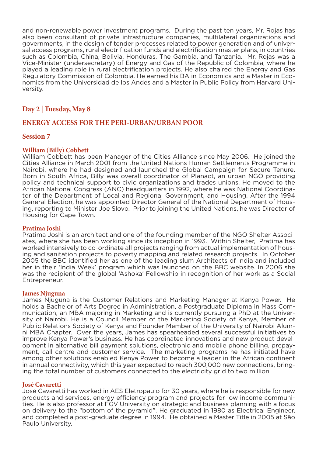and non-renewable power investment programs. During the past ten years, Mr. Rojas has also been consultant of private infrastructure companies, multilateral organizations and governments, in the design of tender processes related to power generation and of universal access programs, rural electrification funds and electrification master plans, in countries such as Colombia, China, Bolivia, Honduras, The Gambia, and Tanzania. Mr. Rojas was a Vice-Minister (undersecretary) of Energy and Gas of the Republic of Colombia, where he played a leading role in rural electrification projects. He also chaired the Energy and Gas Regulatory Commission of Colombia. He earned his BA in Economics and a Master in Economics from the Universidad de los Andes and a Master in Public Policy from Harvard University.

# **Day 2 | Tuesday, May 8**

# **ENERGY ACCESS FOR THE PERI-URBAN/URBAN POOR**

# **Session 7**

# **William (Billy) Cobbett**

William Cobbett has been Manager of the Cities Alliance since May 2006. He joined the Cities Alliance in March 2001 from the United Nations Human Settlements Programme in Nairobi, where he had designed and launched the Global Campaign for Secure Tenure. Born in South Africa, Billy was overall coordinator of Planact, an urban NGO providing policy and technical support to civic organizations and trades unions. He moved to the African National Congress (ANC) headquarters in 1992, where he was National Coordinator of the Department of Local and Regional Government, and Housing. After the 1994 General Election, he was appointed Director General of the National Department of Housing, reporting to Minister Joe Slovo. Prior to joining the United Nations, he was Director of Housing for Cape Town.

#### **Pratima Joshi**

Pratima Joshi is an architect and one of the founding member of the NGO Shelter Associates, where she has been working since its inception in 1993. Within Shelter, Pratima has worked intensively to co-ordinate all projects ranging from actual implementation of housing and sanitation projects to poverty mapping and related research projects. In October 2005 the BBC identified her as one of the leading slum Architects of India and included her in their 'India Week' program which was launched on the BBC website. In 2006 she was the recipient of the global 'Ashoka' Fellowship in recognition of her work as a Social Entrepreneur.

#### **James Njuguna**

James Njuguna is the Customer Relations and Marketing Manager at Kenya Power. He holds a Bachelor of Arts Degree in Administration, a Postgraduate Diploma in Mass Communication, an MBA majoring in Marketing and is currently pursuing a PhD at the University of Nairobi. He is a Council Member of the Marketing Society of Kenya, Member of Public Relations Society of Kenya and Founder Member of the University of Nairobi Alumni MBA Chapter. Over the years, James has spearheaded several successful initiatives to improve Kenya Power's business. He has coordinated innovations and new product development in alternative bill payment solutions, electronic and mobile phone billing, prepayment, call centre and customer service. The marketing programs he has initiated have among other solutions enabled Kenya Power to become a leader in the African continent in annual connectivity, which this year expected to reach 300,000 new connections, bringing the total number of customers connected to the electricity grid to two million.

#### **José Cavaretti**

José Cavaretti has worked in AES Eletropaulo for 30 years, where he is responsible for new products and services, energy efficiency program and projects for low income communities. He is also professor at FGV University on strategic and business planning with a focus on delivery to the "bottom of the pyramid". He graduated in 1980 as Electrical Engineer, and completed a post-graduate degree in 1994. He obtained a Master Title in 2005 at São Paulo University.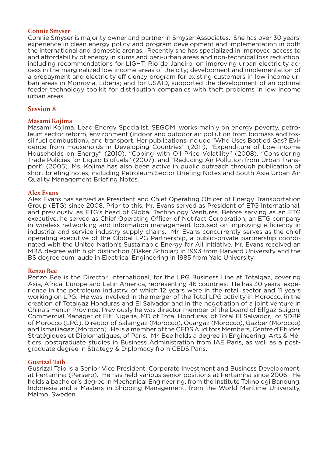# **Connie Smyser**

Connie Smyser is majority owner and partner in Smyser Associates. She has over 30 years' experience in clean energy policy and program development and implementation in both the international and domestic arenas. Recently she has specialized in improved access to and affordability of energy in slums and peri-urban areas and non-technical loss reduction, including recommendations for LIGHT, Rio de Janeiro, on improving urban electricity access in the marginalized low income areas of the city; development and implementation of a prepayment and electricity efficiency program for existing customers in low income urban areas in Monrovia, Liberia; and for USAID, supported the development of an optimal feeder technology toolkit for distribution companies with theft problems in low income urban areas.

# **Session 8**

# **Masami Kojima**

Masami Kojima, Lead Energy Specialist, SEGOM, works mainly on energy poverty, petroleum sector reform, environment (indoor and outdoor air pollution from biomass and fossil fuel combustion), and transport. Her publications include "Who Uses Bottled Gas? Evidence from Households in Developing Countries" (2011), "Expenditure of Low-Income Households on Energy" (2010), "Coping with Oil Price Volatility" (2008), "Considering Trade Policies for Liquid Biofuels" (2007), and "Reducing Air Pollution from Urban Transport" (2005). Ms. Kojima has also been active in public outreach through publication of short briefing notes, including Petroleum Sector Briefing Notes and South Asia Urban Air Quality Management Briefing Notes.

#### **Alex Evans**

Alex Evans has served as President and Chief Operating Officer of Energy Transportation Group (ETG) since 2008. Prior to this, Mr. Evans served as President of ETG International, and previously, as ETG's head of Global Technology Ventures. Before serving as an ETG executive, he served as Chief Operating Officer of Notifact Corporation, an ETG company in wireless networking and information management focused on improving efficiency in industrial and service-industry supply chains. Mr. Evans concurrently serves as the chief operating executive of the Global LPG Partnership, a public-private partnership coordinated with the United Nation's Sustainable Energy for All initiative. Mr. Evans received an MBA degree with high distinction (Baker Scholar) in 1993 from Harvard University and the BS degree cum laude in Electrical Engineering in 1985 from Yale University.

#### **Renzo Bee**

Renzo Bee is the Director, International, for the LPG Business Line at Totalgaz, covering Asia, Africa, Europe and Latin America, representing 46 countries. He has 30 years' experience in the petroleum industry, of which 12 years were in the retail sector and 11 years working on LPG. He was involved in the merger of the Total LPG activity in Morocco, in the creation of Totalgaz Honduras and El Salvador and in the negotiation of a joint venture in China's Henan Province. Previously he was director member of the board of Elfgaz Saigon, Commercial Manager of Elf Nigeria, MD of Total Honduras, of Total El Salvador, of SDBP of Morocco (LPG), Director of Salamgaz (Morocco), Ouargaz (Morocco), Gazber (Morocco) and Ismailiagaz (Morocco). He is a member of the CEDS Auditors Members, Centre d'Etudes Stratégiques et Diplomatiques, of Paris. Mr. Bee holds a degree in Engineering, Arts & Métiers, postgraduate studies in Business Administration from IAE Paris, as well as a postgraduate degree in Strategy & Diplomacy from CEDS Paris.

#### **Gusrizal Taib**

Gusrizal Taib is a Senior Vice President, Corporate Investment and Business Development, at Pertamina (Persero). He has held various senior positions at Pertamina since 2006. He holds a bachelor's degree in Mechanical Engineering, from the Institute Teknologi Bandung, Indonesia and a Masters in Shipping Management, from the World Maritime University, Malmo, Sweden.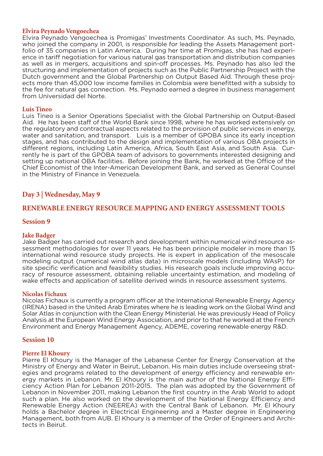# **Elvira Peynado Vengoechea**

Elvira Peynado Vengoechea is Promigas' Investments Coordinator. As such, Ms. Peynado, who joined the company in 2001, is responsible for leading the Assets Management portfolio of 35 companies in Latin America. During her time at Promigas, she has had experience in tariff negotiation for various natural gas transportation and distribution companies as well as in mergers, acquisitions and spin-off processes. Ms. Peynado has also led the structuring and implementation of projects such as the Public Partnership Project with the Dutch government and the Global Partnership on Output Based Aid. Through these projects more than 45,000 low income families in Colombia were benefitted with a subsidy to the fee for natural gas connection. Ms. Peynado earned a degree in business management from Universidad del Norte.

# **Luis Tineo**

Luis Tineo is a Senior Operations Specialist with the Global Partnership on Output-Based Aid. He has been staff of the World Bank since 1998, where he has worked extensively on the regulatory and contractual aspects related to the provision of public services in energy, water and sanitation, and transport. Luis is a member of GPOBA since its early inception stages, and has contributed to the design and implementation of various OBA projects in different regions, including Latin America, Africa, South East Asia, and South Asia. Currently he is part of the GPOBA team of advisors to governments interested designing and setting up national OBA facilities. Before joining the Bank, he worked at the Office of the Chief Economist of the Inter-American Development Bank, and served as General Counsel in the Ministry of Finance in Venezuela.

# **Day 3 | Wednesday, May 9**

# **RENEWABLE ENERGY RESOURCE MAPPING AND ENERGY ASSESSMENT TOOLS**

# **Session 9**

# **Jake Badger**

Jake Badger has carried out research and development within numerical wind resource assessment methodologies for over 11 years. He has been principle modeler in more than 15 international wind resource study projects. He is expert in application of the mesoscale modeling output (numerical wind atlas data) in microscale models (including WAsP) for site specific verification and feasibility studies. His research goals include improving accuracy of resource assessment, obtaining reliable uncertainty estimation, and modeling of wake effects and application of satellite derived winds in resource assessment systems.

# **Nicolas Fichaux**

Nicolas Fichaux is currently a program officer at the International Renewable Energy Agency (IRENA) based in the United Arab Emirates where he is leading work on the Global Wind and Solar Atlas in conjunction with the Clean Energy Ministerial. He was previously Head of Policy Analysis at the European Wind Energy Association, and prior to that he worked at the French Environment and Energy Management Agency, ADEME, covering renewable energy R&D.

# **Session 10**

# **Pierre El Khoury**

Pierre El Khoury is the Manager of the Lebanese Center for Energy Conservation at the Ministry of Energy and Water in Beirut, Lebanon. His main duties include overseeing strategies and programs related to the development of energy efficiency and renewable energy markets in Lebanon. Mr. El Khoury is the main author of the National Energy Efficiency Action Plan for Lebanon 2011-2015. The plan was adopted by the Government of Lebanon in November 2011, making Lebanon the first country in the Arab World to adopt such a plan. He also worked on the development of the National Energy Efficiency and Renewable Energy Action (NEEREA) with the Central Bank of Lebanon. Mr. El Khoury holds a Bachelor degree in Electrical Engineering and a Master degree in Engineering Management, both from AUB. El Khoury is a member of the Order of Engineers and Architects in Beirut.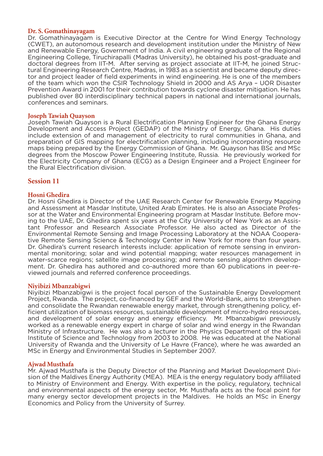# **Dr. S. Gomathinayagam**

Dr. Gomathinayagam is Executive Director at the Centre for Wind Energy Technology (CWET), an autonomous research and development institution under the Ministry of New and Renewable Energy, Government of India. A civil engineering graduate of the Regional Engineering College, Tiruchirapalli (Madras University), he obtained his post-graduate and doctoral degrees from IIT-M. After serving as project associate at IIT-M, he joined Structural Engineering Research Centre, Madras, in 1983 as a scientist and became deputy director and project leader of field experiments in wind engineering. He is one of the members of the team which won the CSIR Technology Shield in 2000 and AS Arya – UOR Disaster Prevention Award in 2001 for their contribution towards cyclone disaster mitigation. He has published over 80 interdisciplinary technical papers in national and international journals, conferences and seminars.

# **Joseph Tawiah Quayson**

Joseph Tawiah Quayson is a Rural Electrification Planning Engineer for the Ghana Energy Development and Access Project (GEDAP) of the Ministry of Energy, Ghana. His duties include extension of and management of electricity to rural communities in Ghana, and preparation of GIS mapping for electrification planning, including incorporating resource maps being prepared by the Energy Commission of Ghana. Mr. Quayson has BSc and MSc degrees from the Moscow Power Engineering Institute, Russia. He previously worked for the Electricity Company of Ghana (ECG) as a Design Engineer and a Project Engineer for the Rural Electrification division.

# **Session 11**

# **Hosni Ghedira**

Dr. Hosni Ghedira is Director of the UAE Research Center for Renewable Energy Mapping and Assessment at Masdar Institute, United Arab Emirates. He is also an Associate Professor at the Water and Environmental Engineering program at Masdar Institute. Before moving to the UAE, Dr. Ghedira spent six years at the City University of New York as an Assistant Professor and Research Associate Professor. He also acted as Director of the Environmental Remote Sensing and Image Processing Laboratory at the NOAA Cooperative Remote Sensing Science & Technology Center in New York for more than four years. Dr. Ghedira's current research interests include: application of remote sensing in environmental monitoring; solar and wind potential mapping; water resources management in water-scarce regions; satellite image processing; and remote sensing algorithm development. Dr. Ghedira has authored and co-authored more than 60 publications in peer-reviewed journals and referred conference proceedings.

#### **Niyibizi Mbanzabigwi**

Niyibizi Mbanzabigwi is the project focal person of the Sustainable Energy Development Project, Rwanda. The project, co-financed by GEF and the World-Bank, aims to strengthen and consolidate the Rwandan renewable energy market, through strengthening policy, efficient utilization of biomass resources, sustainable development of micro-hydro resources, and development of solar energy and energy efficiency. Mr. Mbanzabigwi previously worked as a renewable energy expert in charge of solar and wind energy in the Rwandan Ministry of Infrastructure. He was also a lecturer in the Physics Department of the Kigali Institute of Science and Technology from 2003 to 2008. He was educated at the National University of Rwanda and the University of Le Havre (France), where he was awarded an MSc in Energy and Environmental Studies in September 2007.

#### **Ajwad Musthafa**

Mr. Ajwad Musthafa is the Deputy Director of the Planning and Market Development Division of the Maldives Energy Authority (MEA). MEA is the energy regulatory body affiliated to Ministry of Environment and Energy. With expertise in the policy, regulatory, technical and environmental aspects of the energy sector, Mr. Musthafa acts as the focal point for many energy sector development projects in the Maldives. He holds an MSc in Energy Economics and Policy from the University of Surrey.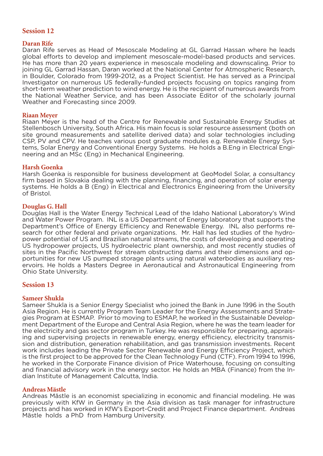# **Session 12**

# **Daran Rife**

Daran Rife serves as Head of Mesoscale Modeling at GL Garrad Hassan where he leads global efforts to develop and implement mesoscale-model-based products and services. He has more than 20 years experience in mesoscale modeling and downscaling. Prior to joining GL Garrad Hassan, Daran worked at the National Center for Atmospheric Research, in Boulder, Colorado from 1999-2012, as a Project Scientist. He has served as a Principal Investigator on numerous US federally-funded projects focusing on topics ranging from short-term weather prediction to wind energy. He is the recipient of numerous awards from the National Weather Service, and has been Associate Editor of the scholarly journal Weather and Forecasting since 2009.

# **Riaan Meyer**

Riaan Meyer is the head of the Centre for Renewable and Sustainable Energy Studies at Stellenbosch University, South Africa. His main focus is solar resource assessment (both on site ground measurements and satellite derived data) and solar technologies including CSP, PV and CPV. He teaches various post graduate modules e.g. Renewable Energy Systems, Solar Energy and Conventional Energy Systems. He holds a B.Eng in Electrical Engineering and an MSc (Eng) in Mechanical Engineering.

# **Harsh Goenka**

Harsh Goenka is responsible for business development at GeoModel Solar, a consultancy firm based in Slovakia dealing with the planning, financing, and operation of solar energy systems. He holds a B (Eng) in Electrical and Electronics Engineering from the University of Bristol.

# **Douglas G. Hall**

Douglas Hall is the Water Energy Technical Lead of the Idaho National Laboratory's Wind and Water Power Program. INL is a US Department of Energy laboratory that supports the Department's Office of Energy Efficiency and Renewable Energy. INL also performs research for other federal and private organizations. Mr. Hall has led studies of the hydropower potential of US and Brazilian natural streams, the costs of developing and operating US hydropower projects, US hydroelectric plant ownership, and most recently studies of sites in the Pacific Northwest for stream obstructing dams and their dimensions and opportunities for new US pumped storage plants using natural waterbodies as auxiliary reservoirs. He holds a Masters Degree in Aeronautical and Astronautical Engineering from Ohio State University.

# **Session 13**

# **Sameer Shukla**

Sameer Shukla is a Senior Energy Specialist who joined the Bank in June 1996 in the South Asia Region. He is currently Program Team Leader for the Energy Assessments and Strategies Program at ESMAP. Prior to moving to ESMAP, he worked in the Sustainable Development Department of the Europe and Central Asia Region, where he was the team leader for the electricity and gas sector program in Turkey. He was responsible for preparing, appraising and supervising projects in renewable energy, energy efficiency, electricity transmission and distribution, generation rehabilitation, and gas transmission investments. Recent work includes leading the Private Sector Renewable and Energy Efficiency Project, which is the first project to be approved for the Clean Technology Fund (CTF). From 1994 to 1996, he worked in the Corporate Finance division of Price Waterhouse, focusing on consulting and financial advisory work in the energy sector. He holds an MBA (Finance) from the Indian Institute of Management Calcutta, India.

# **Andreas Mästle**

Andreas Mästle is an economist specializing in economic and financial modeling. He was previously with KfW in Germany in the Asia division as task manager for infrastructure projects and has worked in KfW's Export-Credit and Project Finance department. Andreas Mästle holds a PhD from Hamburg University.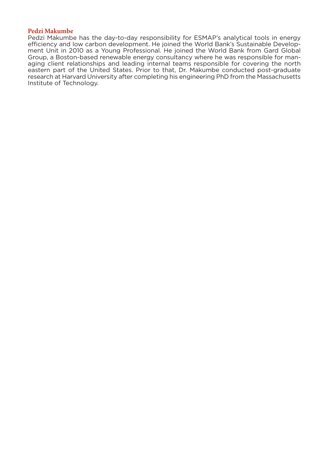# **Pedzi Makumbe**

Pedzi Makumbe has the day-to-day responsibility for ESMAP's analytical tools in energy efficiency and low carbon development. He joined the World Bank's Sustainable Development Unit in 2010 as a Young Professional. He joined the World Bank from Gard Global Group, a Boston-based renewable energy consultancy where he was responsible for managing client relationships and leading internal teams responsible for covering the north eastern part of the United States. Prior to that, Dr. Makumbe conducted post-graduate research at Harvard University after completing his engineering PhD from the Massachusetts Institute of Technology.